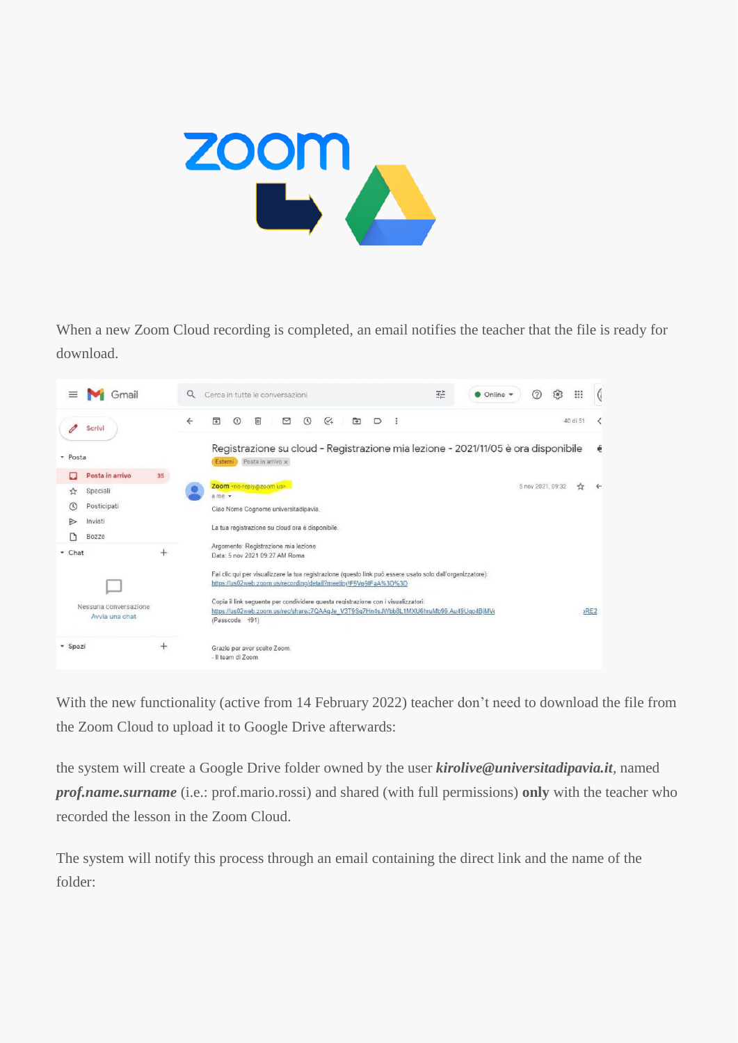

When a new Zoom Cloud recording is completed, an email notifies the teacher that the file is ready for download.



With the new functionality (active from 14 February 2022) teacher don't need to download the file from the Zoom Cloud to upload it to Google Drive afterwards:

the system will create a Google Drive folder owned by the user *kirolive@universitadipavia.it,* named *prof.name.surname* (i.e.: prof.mario.rossi) and shared (with full permissions) **only** with the teacher who recorded the lesson in the Zoom Cloud.

The system will notify this process through an email containing the direct link and the name of the folder: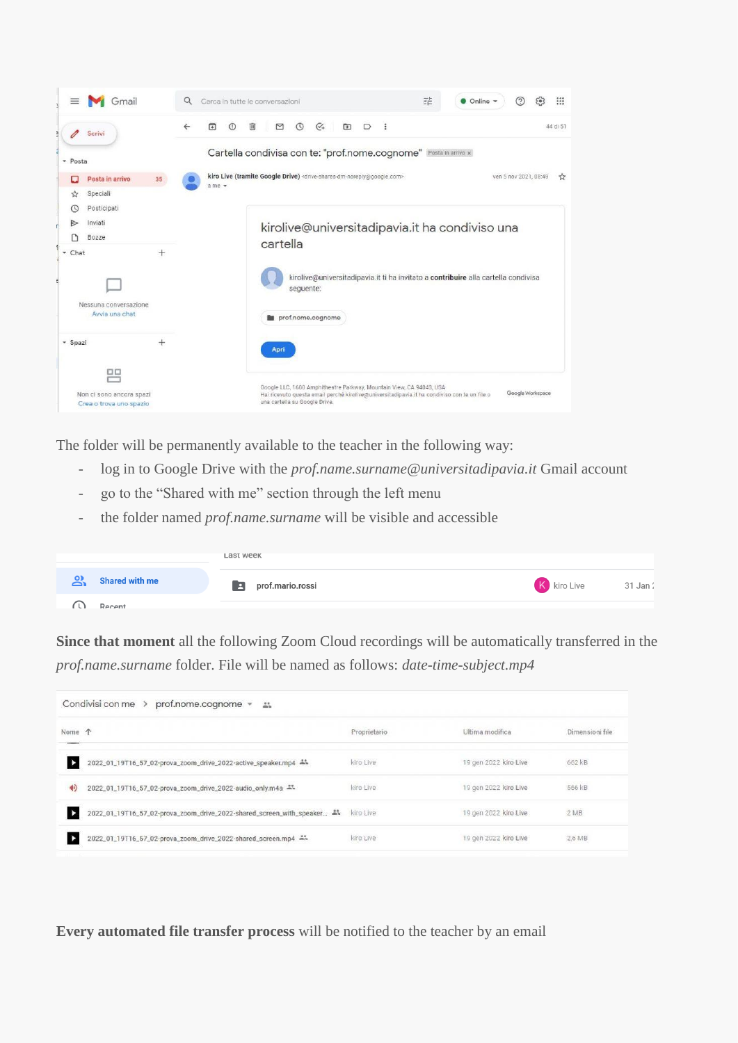

The folder will be permanently available to the teacher in the following way:

- log in to Google Drive with the *prof.name.surname@universitadipavia.it* Gmail account
- go to the "Shared with me" section through the left menu
- the folder named *prof.name.surname* will be visible and accessible

|                             | Last week             |                      |
|-----------------------------|-----------------------|----------------------|
| వి<br><b>Shared with me</b> | prof.mario.rossi<br>E | K kiro Live 31 Jan : |
| Recent                      |                       |                      |

**Since that moment** all the following Zoom Cloud recordings will be automatically transferred in the *prof.name.surname* folder. File will be named as follows: *date-time-subject.mp4*

| Condivisi con me ><br>prof.nome.cognome = = |                                                                                       |              |                       |                 |
|---------------------------------------------|---------------------------------------------------------------------------------------|--------------|-----------------------|-----------------|
| Nome 个<br>---                               |                                                                                       | Proprietario | Ultima modifica       | Dimensioni file |
| Þ                                           | 2022_01_19T16_57_02-prova_zoom_drive_2022-active_speaker.mp4 **                       | kiro Live    | 19 gen 2022 kiro Live | 662 kB          |
| 40                                          | 2022_01_19T16_57_02-prova_zoom_drive_2022-audio_only.m4a -1                           | kiro Live    | 19 gen 2022 kiro Live | 566 kB          |
| ٠                                           | 2022_01_19T16_57_02-prova_zoom_drive_2022-shared_screen_with_speaker <a>kind</a> Live |              | 19 gen 2022 kiro Live | 2 MB            |
| ъ                                           | 2022_01_19T16_57_02-prova_zoom_drive_2022-shared_screen.mp4 **                        | kiro Live    | 19 gen 2022 kiro Live | 2,6 MB          |

**Every automated file transfer process** will be notified to the teacher by an email